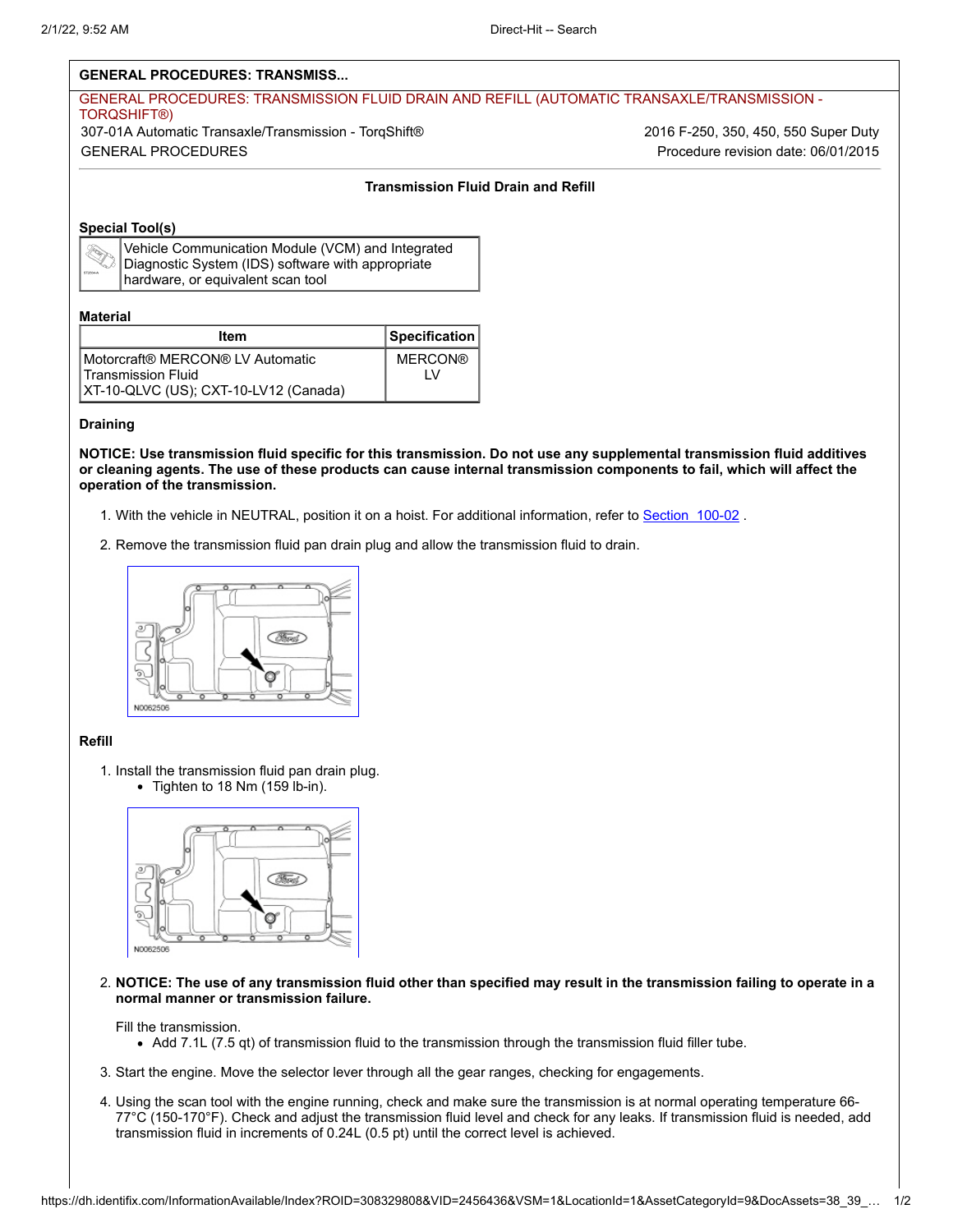## **GENERAL PROCEDURES: TRANSMISS...**

# GENERAL PROCEDURES: TRANSMISSION FLUID DRAIN AND REFILL (AUTOMATIC TRANSAXLE/TRANSMISSION - TORQSHIFT®) 307-01A Automatic Transaxle/Transmission - TorqShift® 2016 F-250, 350, 450, 550 Super Duty GENERAL PROCEDURES Procedure revision date: 06/01/2015

## **Transmission Fluid Drain and Refill**

## **Special Tool(s)**

| ST2834-A |
|----------|

Vehicle Communication Module (VCM) and Integrated Diagnostic System (IDS) software with appropriate hardware, or equivalent scan tool

#### **Material**

| Item                                                   | Specification  |
|--------------------------------------------------------|----------------|
| Motorcraft® MERCON® LV Automatic<br>Transmission Fluid | <b>MERCON®</b> |
| XT-10-QLVC (US); CXT-10-LV12 (Canada)                  |                |

#### **Draining**

**NOTICE: Use transmission fluid specific for this transmission. Do not use any supplemental transmission fluid additives or cleaning agents. The use of these products can cause internal transmission components to fail, which will affect the operation of the transmission.**

- 1. With the vehicle in NEUTRAL, position it on a hoist. For additional information, refer to Section 100-02.
- 2. Remove the transmission fluid pan drain plug and allow the transmission fluid to drain.



## **Refill**

1. Install the transmission fluid pan drain plug. • Tighten to 18 Nm (159 lb-in).



2. **NOTICE: The use of any transmission fluid other than specified may result in the transmission failing to operate in a normal manner or transmission failure.**

# Fill the transmission.

- Add 7.1L (7.5 qt) of transmission fluid to the transmission through the transmission fluid filler tube.
- 3. Start the engine. Move the selector lever through all the gear ranges, checking for engagements.
- 4. Using the scan tool with the engine running, check and make sure the transmission is at normal operating temperature 66- 77°C (150-170°F). Check and adjust the transmission fluid level and check for any leaks. If transmission fluid is needed, add transmission fluid in increments of 0.24L (0.5 pt) until the correct level is achieved.